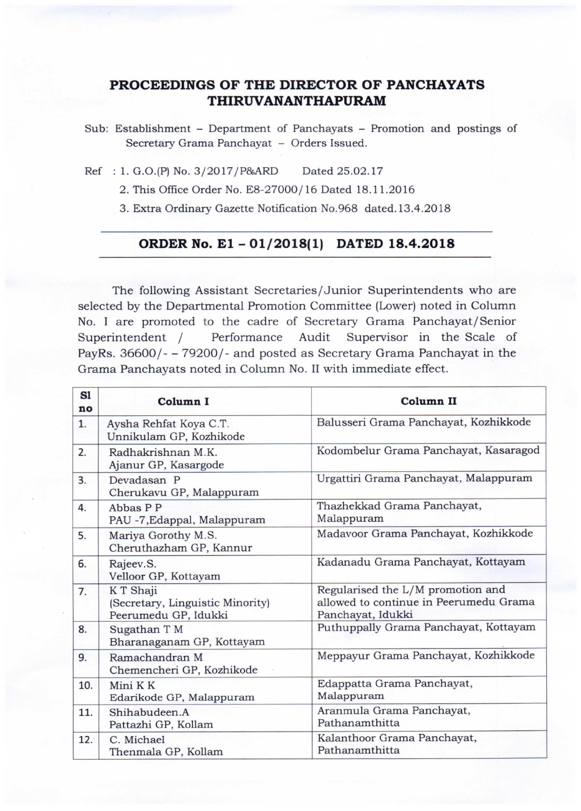## PROCEEDINGS OF THE DIRECTOR OF PANCHAYATS THIRuvANANTHApuRAn4

Sub: Establishment - Department of Panchayats - Promotion and postings of Secretary Grama Panchayat - Orders Issued.

Ref : 1. G.O.(P) No. 3/2017/P&ARD Dated 25.02.17

2. This Office Order No. E8-27000/ 16 Dated 18.11.2016

3. Extra Ordinary Gazette Notification No.968 dated.13.4.2018

## ORDER No. E1 -01/2018(1) DATED 18.4.2018

The following Assistant Secretaries/Junior Superintendents who are selected by the Departmental Promotion Committee (Lower) noted in Column No. I are promoted to the cadre of Secretary Grama Panchayat/Senior Superintendent / Performance Audit Supervisor in the Scale of PayRs. 36600/- - 79200/- and posted as Secretary Grama Panchayat in the Grama Panchayats noted in Column No. II with immediate effect.

| S1<br>no | Column I                                                              | Column II                                                                                        |
|----------|-----------------------------------------------------------------------|--------------------------------------------------------------------------------------------------|
| 1.       | Aysha Rehfat Koya C.T.<br>Unnikulam GP, Kozhikode                     | Balusseri Grama Panchayat, Kozhikkode                                                            |
| 2.       | Radhakrishnan M.K.<br>Ajanur GP, Kasargode                            | Kodombelur Grama Panchayat, Kasaragod                                                            |
| 3.       | Devadasan P<br>Cherukavu GP, Malappuram                               | Urgattiri Grama Panchayat, Malappuram                                                            |
| 4.       | Abbas P P<br>PAU -7, Edappal, Malappuram                              | Thazhekkad Grama Panchayat,<br>Malappuram                                                        |
| 5.       | Mariya Gorothy M.S.<br>Cheruthazham GP, Kannur                        | Madavoor Grama Panchayat, Kozhikkode                                                             |
| 6.       | Rajeev.S.<br>Velloor GP, Kottayam                                     | Kadanadu Grama Panchayat, Kottayam                                                               |
| 7.       | K T Shaji<br>(Secretary, Linguistic Minority)<br>Peerumedu GP, Idukki | Regularised the L/M promotion and<br>allowed to continue in Peerumedu Grama<br>Panchayat, Idukki |
| 8.       | Sugathan T M<br>Bharanaganam GP, Kottayam                             | Puthuppally Grama Panchayat, Kottayam                                                            |
| 9.       | Ramachandran M<br>Chemencheri GP, Kozhikode                           | Meppayur Grama Panchayat, Kozhikkode                                                             |
| 10.      | Mini K K<br>Edarikode GP, Malappuram                                  | Edappatta Grama Panchayat,<br>Malappuram                                                         |
| 11.      | Shihabudeen.A<br>Pattazhi GP, Kollam                                  | Aranmula Grama Panchayat,<br>Pathanamthitta                                                      |
| 12.      | C. Michael<br>Thenmala GP, Kollam                                     | Kalanthoor Grama Panchayat,<br>Pathanamthitta                                                    |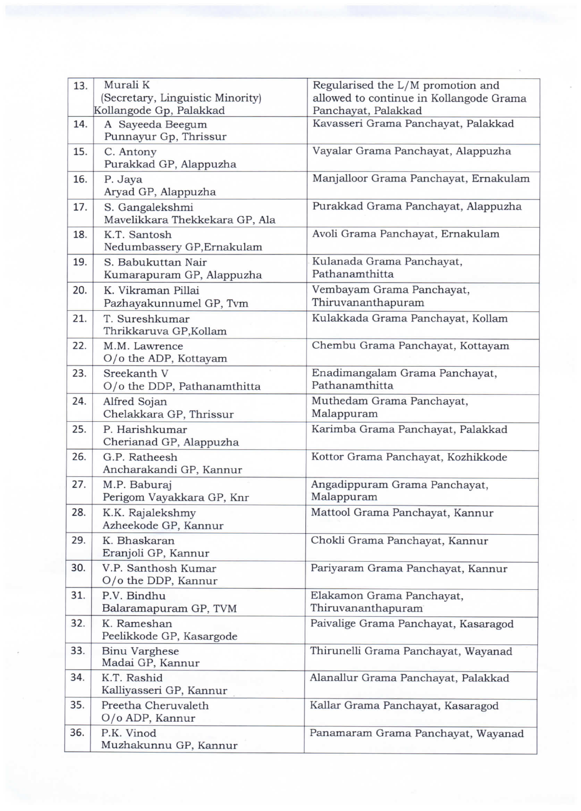| 13. | Murali K                                                    | Regularised the L/M promotion and                              |
|-----|-------------------------------------------------------------|----------------------------------------------------------------|
|     | (Secretary, Linguistic Minority)<br>Kollangode Gp, Palakkad | allowed to continue in Kollangode Grama<br>Panchayat, Palakkad |
| 14. | A Sayeeda Beegum<br>Punnayur Gp, Thrissur                   | Kavasseri Grama Panchayat, Palakkad                            |
| 15. | C. Antony<br>Purakkad GP, Alappuzha                         | Vayalar Grama Panchayat, Alappuzha                             |
| 16. | P. Jaya<br>Aryad GP, Alappuzha                              | Manjalloor Grama Panchayat, Ernakulam                          |
| 17. | S. Gangalekshmi<br>Mavelikkara Thekkekara GP, Ala           | Purakkad Grama Panchayat, Alappuzha                            |
| 18. | K.T. Santosh<br>Nedumbassery GP, Ernakulam                  | Avoli Grama Panchayat, Ernakulam                               |
| 19. | S. Babukuttan Nair<br>Kumarapuram GP, Alappuzha             | Kulanada Grama Panchayat,<br>Pathanamthitta                    |
| 20. | K. Vikraman Pillai<br>Pazhayakunnumel GP, Tvm               | Vembayam Grama Panchayat,<br>Thiruvananthapuram                |
| 21. | T. Sureshkumar<br>Thrikkaruva GP, Kollam                    | Kulakkada Grama Panchayat, Kollam                              |
| 22. | M.M. Lawrence<br>O/o the ADP, Kottayam                      | Chembu Grama Panchayat, Kottayam                               |
| 23. | Sreekanth V<br>O/o the DDP, Pathanamthitta                  | Enadimangalam Grama Panchayat,<br>Pathanamthitta               |
| 24. | Alfred Sojan<br>Chelakkara GP, Thrissur                     | Muthedam Grama Panchayat,<br>Malappuram                        |
| 25. | P. Harishkumar<br>Cherianad GP, Alappuzha                   | Karimba Grama Panchayat, Palakkad                              |
| 26. | G.P. Ratheesh<br>Ancharakandi GP, Kannur                    | Kottor Grama Panchayat, Kozhikkode                             |
| 27. | M.P. Baburaj<br>Perigom Vayakkara GP, Knr                   | Angadippuram Grama Panchayat,<br>Malappuram                    |
| 28. | K.K. Rajalekshmy<br>Azheekode GP, Kannur                    | Mattool Grama Panchayat, Kannur                                |
| 29. | K. Bhaskaran<br>Eranjoli GP, Kannur                         | Chokli Grama Panchayat, Kannur                                 |
| 30. | V.P. Santhosh Kumar<br>O/o the DDP, Kannur                  | Pariyaram Grama Panchayat, Kannur                              |
| 31. | P.V. Bindhu<br>Balaramapuram GP, TVM                        | Elakamon Grama Panchayat,<br>Thiruvananthapuram                |
| 32. | K. Rameshan<br>Peelikkode GP, Kasargode                     | Paivalige Grama Panchayat, Kasaragod                           |
| 33. | <b>Binu Varghese</b><br>Madai GP, Kannur                    | Thirunelli Grama Panchayat, Wayanad                            |
| 34. | K.T. Rashid<br>Kalliyasseri GP, Kannur                      | Alanallur Grama Panchayat, Palakkad                            |
| 35. | Preetha Cheruvaleth<br>O/o ADP, Kannur                      | Kallar Grama Panchayat, Kasaragod                              |
| 36. | P.K. Vinod<br>Muzhakunnu GP, Kannur                         | Panamaram Grama Panchayat, Wayanad                             |